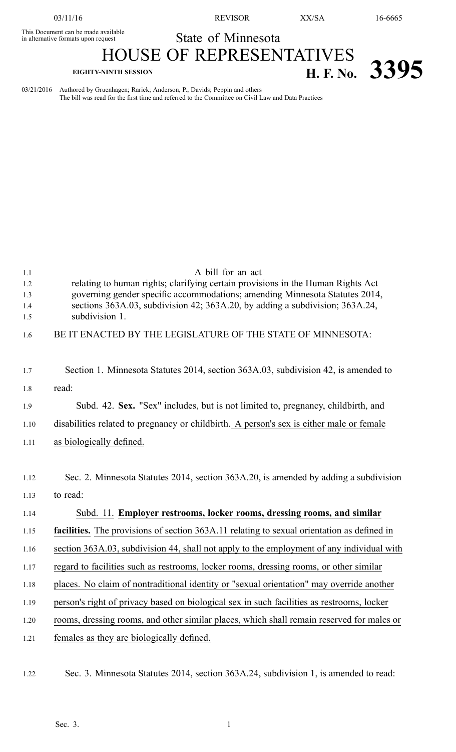03/11/16 REVISOR XX/SA 16-6665

This Document can be made available

State of Minnesota HOUSE OF REPRESENTATIVES

## **EIGHTY-NINTH SESSION H. F. No. 3395**

03/21/2016 Authored by Gruenhagen; Rarick; Anderson, P.; Davids; Peppin and others The bill was read for the first time and referred to the Committee on Civil Law and Data Practices

| 1.1<br>1.2<br>1.3<br>1.4<br>1.5 | A bill for an act<br>relating to human rights; clarifying certain provisions in the Human Rights Act<br>governing gender specific accommodations; amending Minnesota Statutes 2014,<br>sections 363A.03, subdivision 42; 363A.20, by adding a subdivision; 363A.24,<br>subdivision 1. |
|---------------------------------|---------------------------------------------------------------------------------------------------------------------------------------------------------------------------------------------------------------------------------------------------------------------------------------|
| 1.6                             | BE IT ENACTED BY THE LEGISLATURE OF THE STATE OF MINNESOTA:                                                                                                                                                                                                                           |
| 1.7                             | Section 1. Minnesota Statutes 2014, section 363A.03, subdivision 42, is amended to                                                                                                                                                                                                    |
| 1.8                             | read:                                                                                                                                                                                                                                                                                 |
| 1.9                             | Subd. 42. Sex. "Sex" includes, but is not limited to, pregnancy, childbirth, and                                                                                                                                                                                                      |
| 1.10                            | disabilities related to pregnancy or childbirth. A person's sex is either male or female                                                                                                                                                                                              |
| 1.11                            | as biologically defined.                                                                                                                                                                                                                                                              |
| 1.12                            | Sec. 2. Minnesota Statutes 2014, section 363A.20, is amended by adding a subdivision                                                                                                                                                                                                  |
| 1.13                            | to read:                                                                                                                                                                                                                                                                              |
| 1.14                            | Subd. 11. Employer restrooms, locker rooms, dressing rooms, and similar                                                                                                                                                                                                               |
| 1.15                            | facilities. The provisions of section 363A.11 relating to sexual orientation as defined in                                                                                                                                                                                            |
| 1.16                            | section 363A.03, subdivision 44, shall not apply to the employment of any individual with                                                                                                                                                                                             |
| 1.17                            | regard to facilities such as restrooms, locker rooms, dressing rooms, or other similar                                                                                                                                                                                                |
| 1.18                            | places. No claim of nontraditional identity or "sexual orientation" may override another                                                                                                                                                                                              |
| 1.19                            | person's right of privacy based on biological sex in such facilities as restrooms, locker                                                                                                                                                                                             |
| 1.20                            | rooms, dressing rooms, and other similar places, which shall remain reserved for males or                                                                                                                                                                                             |
| 1.21                            | females as they are biologically defined.                                                                                                                                                                                                                                             |
|                                 |                                                                                                                                                                                                                                                                                       |

1.22 Sec. 3. Minnesota Statutes 2014, section 363A.24, subdivision 1, is amended to read: